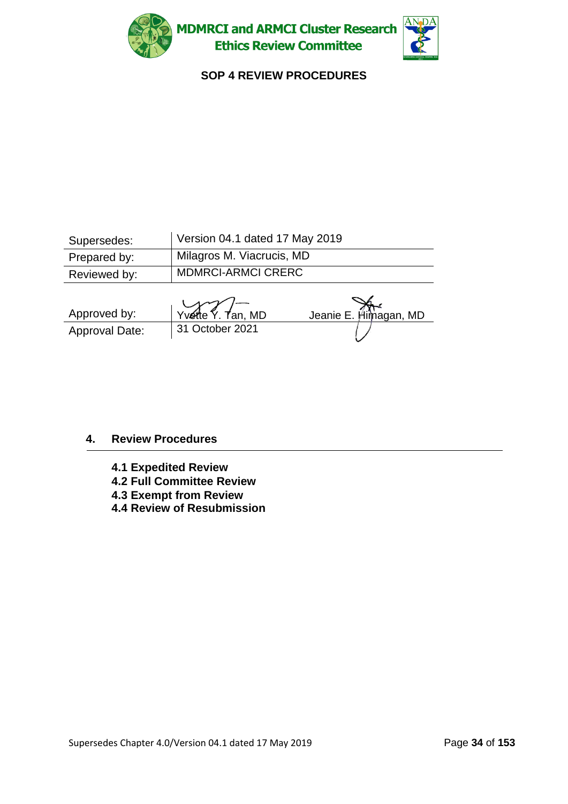



### **SOP 4 REVIEW PROCEDURES**

| Supersedes:    | Version 04.1 dated 17 May 2019 |                       |  |
|----------------|--------------------------------|-----------------------|--|
| Prepared by:   | Milagros M. Viacrucis, MD      |                       |  |
| Reviewed by:   | <b>MDMRCI-ARMCI CRERC</b>      |                       |  |
| Approved by:   | $Y$ vette $Y$ . Tan, MD        |                       |  |
|                |                                | Jeanie E. Himagan, MD |  |
| Approval Date: | 31 October 2021                |                       |  |

### **4. Review Procedures**

- **4.1 Expedited Review**
- **4.2 Full Committee Review**
- **4.3 Exempt from Review**
- **4.4 Review of Resubmission**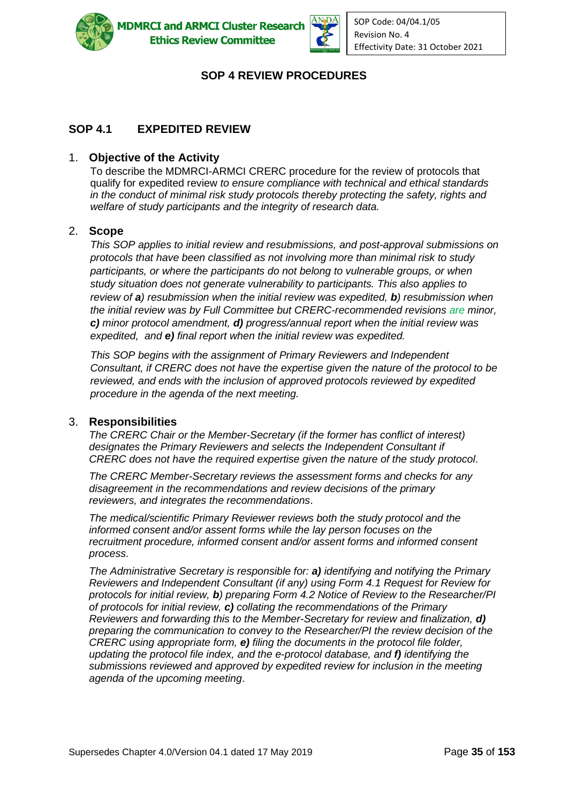



### **SOP 4 REVIEW PROCEDURES**

### **SOP 4.1 EXPEDITED REVIEW**

#### 1. **Objective of the Activity**

To describe the MDMRCI-ARMCI CRERC procedure for the review of protocols that qualify for expedited review *to ensure compliance with technical and ethical standards in the conduct of minimal risk study protocols thereby protecting the safety, rights and welfare of study participants and the integrity of research data.*

#### 2. **Scope**

*This SOP applies to initial review and resubmissions, and post-approval submissions on protocols that have been classified as not involving more than minimal risk to study participants, or where the participants do not belong to vulnerable groups, or when study situation does not generate vulnerability to participants. This also applies to review of a) resubmission when the initial review was expedited, b) resubmission when the initial review was by Full Committee but CRERC-recommended revisions are minor, c) minor protocol amendment, d) progress/annual report when the initial review was expedited, and e) final report when the initial review was expedited.* 

*This SOP begins with the assignment of Primary Reviewers and Independent Consultant, if CRERC does not have the expertise given the nature of the protocol to be reviewed, and ends with the inclusion of approved protocols reviewed by expedited procedure in the agenda of the next meeting.* 

#### 3. **Responsibilities**

*The CRERC Chair or the Member-Secretary (if the former has conflict of interest) designates the Primary Reviewers and selects the Independent Consultant if CRERC does not have the required expertise given the nature of the study protocol*.

*The CRERC Member-Secretary reviews the assessment forms and checks for any disagreement in the recommendations and review decisions of the primary reviewers, and integrates the recommendations*.

*The medical/scientific Primary Reviewer reviews both the study protocol and the informed consent and/or assent forms while the lay person focuses on the recruitment procedure, informed consent and/or assent forms and informed consent process*.

*The Administrative Secretary is responsible for: a) identifying and notifying the Primary Reviewers and Independent Consultant (if any) using Form 4.1 Request for Review for protocols for initial review, b) preparing Form 4.2 Notice of Review to the Researcher/PI of protocols for initial review, c) collating the recommendations of the Primary Reviewers and forwarding this to the Member-Secretary for review and finalization, d) preparing the communication to convey to the Researcher/PI the review decision of the CRERC using appropriate form, e) filing the documents in the protocol file folder, updating the protocol file index, and the e-protocol database, and f) identifying the submissions reviewed and approved by expedited review for inclusion in the meeting agenda of the upcoming meeting*.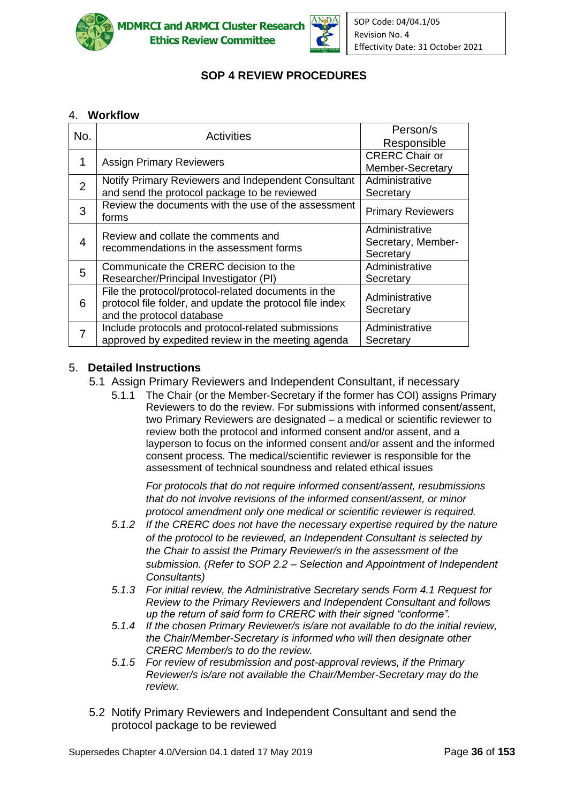



# **SOP 4 REVIEW PROCEDURES**

### 4. **Workflow**

| No.            | <b>Activities</b>                                                                                                                            | Person/s<br>Responsible                           |
|----------------|----------------------------------------------------------------------------------------------------------------------------------------------|---------------------------------------------------|
| 1              | <b>Assign Primary Reviewers</b>                                                                                                              | <b>CRERC Chair or</b><br>Member-Secretary         |
| $\overline{2}$ | Notify Primary Reviewers and Independent Consultant<br>and send the protocol package to be reviewed                                          | Administrative<br>Secretary                       |
| 3              | Review the documents with the use of the assessment<br>forms                                                                                 | <b>Primary Reviewers</b>                          |
| 4              | Review and collate the comments and<br>recommendations in the assessment forms                                                               | Administrative<br>Secretary, Member-<br>Secretary |
| 5              | Communicate the CRERC decision to the<br>Researcher/Principal Investigator (PI)                                                              | Administrative<br>Secretary                       |
| 6              | File the protocol/protocol-related documents in the<br>protocol file folder, and update the protocol file index<br>and the protocol database | Administrative<br>Secretary                       |
| 7              | Include protocols and protocol-related submissions<br>approved by expedited review in the meeting agenda                                     | Administrative<br>Secretary                       |

### 5. **Detailed Instructions**

- 5.1 Assign Primary Reviewers and Independent Consultant, if necessary
	- 5.1.1 The Chair (or the Member-Secretary if the former has COI) assigns Primary Reviewers to do the review. For submissions with informed consent/assent, two Primary Reviewers are designated – a medical or scientific reviewer to review both the protocol and informed consent and/or assent, and a layperson to focus on the informed consent and/or assent and the informed consent process. The medical/scientific reviewer is responsible for the assessment of technical soundness and related ethical issues

*For protocols that do not require informed consent/assent, resubmissions that do not involve revisions of the informed consent/assent, or minor protocol amendment only one medical or scientific reviewer is required.*

- *5.1.2 If the CRERC does not have the necessary expertise required by the nature of the protocol to be reviewed, an Independent Consultant is selected by the Chair to assist the Primary Reviewer/s in the assessment of the submission. (Refer to SOP 2.2 – Selection and Appointment of Independent Consultants)*
- *5.1.3 For initial review, the Administrative Secretary sends Form 4.1 Request for Review to the Primary Reviewers and Independent Consultant and follows up the return of said form to CRERC with their signed "conforme".*
- *5.1.4 If the chosen Primary Reviewer/s is/are not available to do the initial review, the Chair/Member-Secretary is informed who will then designate other CRERC Member/s to do the review.*
- *5.1.5 For review of resubmission and post-approval reviews, if the Primary Reviewer/s is/are not available the Chair/Member-Secretary may do the review.*
- 5.2 Notify Primary Reviewers and Independent Consultant and send the protocol package to be reviewed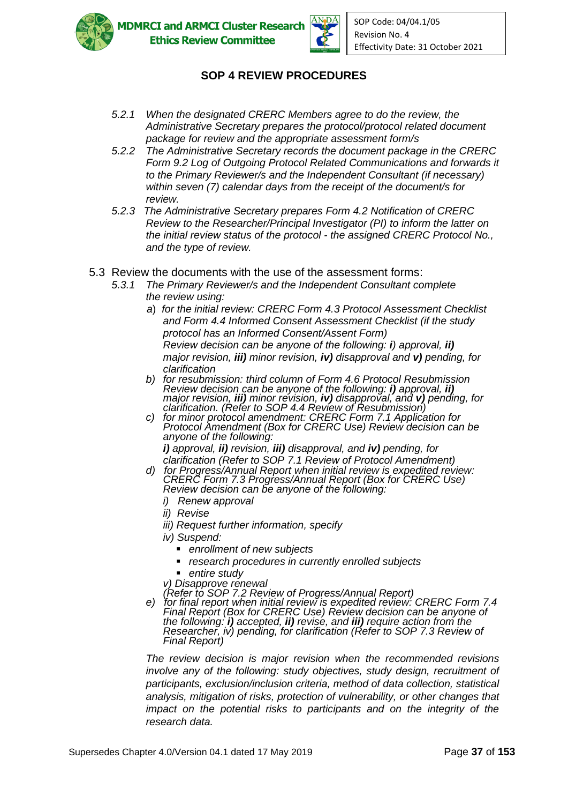



### **SOP 4 REVIEW PROCEDURES**

- *5.2.1 When the designated CRERC Members agree to do the review, the Administrative Secretary prepares the protocol/protocol related document package for review and the appropriate assessment form/s*
- *5.2.2 The Administrative Secretary records the document package in the CRERC Form 9.2 Log of Outgoing Protocol Related Communications and forwards it to the Primary Reviewer/s and the Independent Consultant (if necessary) within seven (7) calendar days from the receipt of the document/s for review.*
- *5.2.3 The Administrative Secretary prepares Form 4.2 Notification of CRERC Review to the Researcher/Principal Investigator (PI) to inform the latter on the initial review status of the protocol - the assigned CRERC Protocol No., and the type of review.*
- 5.3 Review the documents with the use of the assessment forms:
	- *5.3.1 The Primary Reviewer/s and the Independent Consultant complete the review using:*
		- *a*) *for the initial review: CRERC Form 4.3 Protocol Assessment Checklist and Form 4.4 Informed Consent Assessment Checklist (if the study protocol has an Informed Consent/Assent Form) Review decision can be anyone of the following: i) approval, ii) major revision, iii) minor revision, iv) disapproval and v) pending, for clarification*
		- *b) for resubmission: third column of Form 4.6 Protocol Resubmission Review decision can be anyone of the following: i) approval, ii) major revision, iii) minor revision, iv) disapproval, and v) pending, for clarification. (Refer to SOP 4.4 Review of Resubmission)*
		- *c) for minor protocol amendment: CRERC Form 7.1 Application for Protocol Amendment (Box for CRERC Use) Review decision can be anyone of the following: i) approval, ii) revision, iii) disapproval, and iv) pending, for*
		- *clarification (Refer to SOP 7.1 Review of Protocol Amendment) d) for Progress/Annual Report when initial review is expedited review:*
		- *CRERC Form 7.3 Progress/Annual Report (Box for CRERC Use) Review decision can be anyone of the following:* 
			- *i) Renew approval*
			- *ii) Revise*
			- *iii) Request further information, specify*
			- *iv) Suspend:*
				- *enrollment of new subjects*
				- *research procedures in currently enrolled subjects*
				- entire study
			- *v) Disapprove renewal*

*(Refer to SOP 7.2 Review of Progress/Annual Report)* 

*e) for final report when initial review is expedited review: CRERC Form 7.4 Final Report (Box for CRERC Use) Review decision can be anyone of the following: i) accepted, ii) revise, and iii) require action from the Researcher, iv) pending, for clarification (Refer to SOP 7.3 Review of Final Report)*

*The review decision is major revision when the recommended revisions involve any of the following: study objectives, study design, recruitment of participants, exclusion/inclusion criteria, method of data collection, statistical analysis, mitigation of risks, protection of vulnerability, or other changes that impact on the potential risks to participants and on the integrity of the research data.*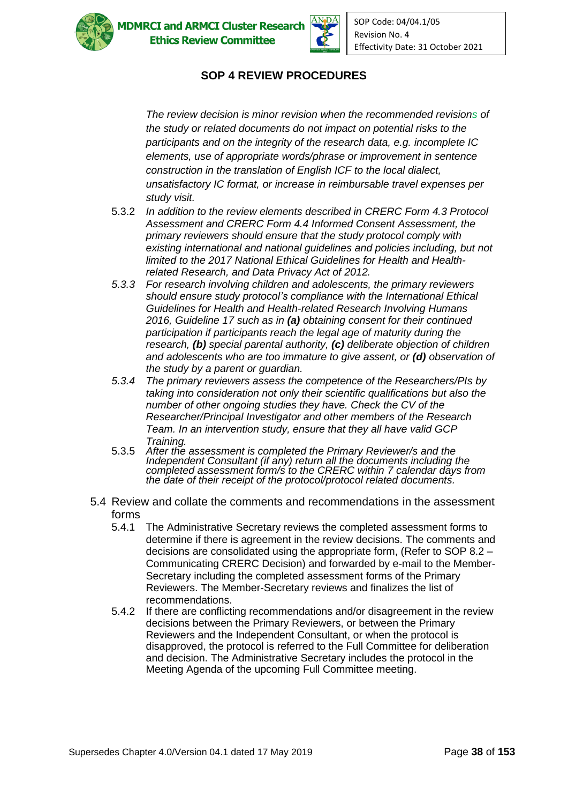



## **SOP 4 REVIEW PROCEDURES**

*The review decision is minor revision when the recommended revisions of the study or related documents do not impact on potential risks to the participants and on the integrity of the research data, e.g. incomplete IC elements, use of appropriate words/phrase or improvement in sentence construction in the translation of English ICF to the local dialect, unsatisfactory IC format, or increase in reimbursable travel expenses per study visit.*

- 5.3.2 *In addition to the review elements described in CRERC Form 4.3 Protocol Assessment and CRERC Form 4.4 Informed Consent Assessment, the primary reviewers should ensure that the study protocol comply with existing international and national guidelines and policies including, but not limited to the 2017 National Ethical Guidelines for Health and Healthrelated Research, and Data Privacy Act of 2012.*
- *5.3.3 For research involving children and adolescents, the primary reviewers should ensure study protocol's compliance with the International Ethical Guidelines for Health and Health-related Research Involving Humans 2016, Guideline 17 such as in (a) obtaining consent for their continued participation if participants reach the legal age of maturity during the research, (b) special parental authority, (c) deliberate objection of children and adolescents who are too immature to give assent, or (d) observation of the study by a parent or guardian.*
- *5.3.4 The primary reviewers assess the competence of the Researchers/PIs by taking into consideration not only their scientific qualifications but also the number of other ongoing studies they have. Check the CV of the Researcher/Principal Investigator and other members of the Research Team. In an intervention study, ensure that they all have valid GCP Training.*
- 5.3.5 *After the assessment is completed the Primary Reviewer/s and the Independent Consultant (if any) return all the documents including the completed assessment form/s to the CRERC within 7 calendar days from the date of their receipt of the protocol/protocol related documents.*
- 5.4 Review and collate the comments and recommendations in the assessment forms
	- 5.4.1 The Administrative Secretary reviews the completed assessment forms to determine if there is agreement in the review decisions. The comments and decisions are consolidated using the appropriate form, (Refer to SOP 8.2 – Communicating CRERC Decision) and forwarded by e-mail to the Member-Secretary including the completed assessment forms of the Primary Reviewers. The Member-Secretary reviews and finalizes the list of recommendations.
	- 5.4.2 If there are conflicting recommendations and/or disagreement in the review decisions between the Primary Reviewers, or between the Primary Reviewers and the Independent Consultant, or when the protocol is disapproved, the protocol is referred to the Full Committee for deliberation and decision. The Administrative Secretary includes the protocol in the Meeting Agenda of the upcoming Full Committee meeting.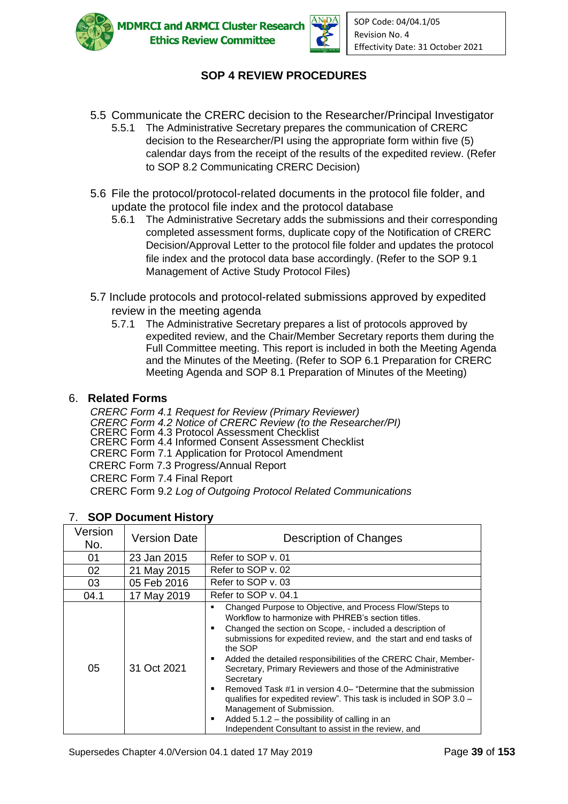



# **SOP 4 REVIEW PROCEDURES**

- 5.5 Communicate the CRERC decision to the Researcher/Principal Investigator 5.5.1 The Administrative Secretary prepares the communication of CRERC
	- decision to the Researcher/PI using the appropriate form within five (5) calendar days from the receipt of the results of the expedited review. (Refer to SOP 8.2 Communicating CRERC Decision)
- 5.6 File the protocol/protocol-related documents in the protocol file folder, and update the protocol file index and the protocol database
	- 5.6.1 The Administrative Secretary adds the submissions and their corresponding completed assessment forms, duplicate copy of the Notification of CRERC Decision/Approval Letter to the protocol file folder and updates the protocol file index and the protocol data base accordingly. (Refer to the SOP 9.1 Management of Active Study Protocol Files)
- 5.7 Include protocols and protocol-related submissions approved by expedited review in the meeting agenda
	- 5.7.1 The Administrative Secretary prepares a list of protocols approved by expedited review, and the Chair/Member Secretary reports them during the Full Committee meeting. This report is included in both the Meeting Agenda and the Minutes of the Meeting. (Refer to SOP 6.1 Preparation for CRERC Meeting Agenda and SOP 8.1 Preparation of Minutes of the Meeting)

### 6. **Related Forms**

*CRERC Form 4.1 Request for Review (Primary Reviewer) CRERC Form 4.2 Notice of CRERC Review (to the Researcher/PI)* CRERC Form 4.3 Protocol Assessment Checklist CRERC Form 4.4 Informed Consent Assessment Checklist CRERC Form 7.1 Application for Protocol Amendment CRERC Form 7.3 Progress/Annual Report CRERC Form 7.4 Final Report CRERC Form 9.2 *Log of Outgoing Protocol Related Communications*

| Version<br>No. | <b>Version Date</b> | Description of Changes                                                                                                                                                                                                                                                                                                                                                                                                                                                                                                                                                                                                                                                                                            |
|----------------|---------------------|-------------------------------------------------------------------------------------------------------------------------------------------------------------------------------------------------------------------------------------------------------------------------------------------------------------------------------------------------------------------------------------------------------------------------------------------------------------------------------------------------------------------------------------------------------------------------------------------------------------------------------------------------------------------------------------------------------------------|
| 01             | 23 Jan 2015         | Refer to SOP v. 01                                                                                                                                                                                                                                                                                                                                                                                                                                                                                                                                                                                                                                                                                                |
| 02             | 21 May 2015         | Refer to SOP v. 02                                                                                                                                                                                                                                                                                                                                                                                                                                                                                                                                                                                                                                                                                                |
| 03             | 05 Feb 2016         | Refer to SOP v. 03                                                                                                                                                                                                                                                                                                                                                                                                                                                                                                                                                                                                                                                                                                |
| 04.1           | 17 May 2019         | Refer to SOP v. 04.1                                                                                                                                                                                                                                                                                                                                                                                                                                                                                                                                                                                                                                                                                              |
| 05             | 31 Oct 2021         | Changed Purpose to Objective, and Process Flow/Steps to<br>٠<br>Workflow to harmonize with PHREB's section titles.<br>Changed the section on Scope, - included a description of<br>г<br>submissions for expedited review, and the start and end tasks of<br>the SOP<br>Added the detailed responsibilities of the CRERC Chair, Member-<br>п<br>Secretary, Primary Reviewers and those of the Administrative<br>Secretary<br>Removed Task #1 in version 4.0– "Determine that the submission<br>п<br>qualifies for expedited review". This task is included in SOP 3.0 -<br>Management of Submission.<br>Added 5.1.2 - the possibility of calling in an<br>п<br>Independent Consultant to assist in the review, and |

# 7. **SOP Document History**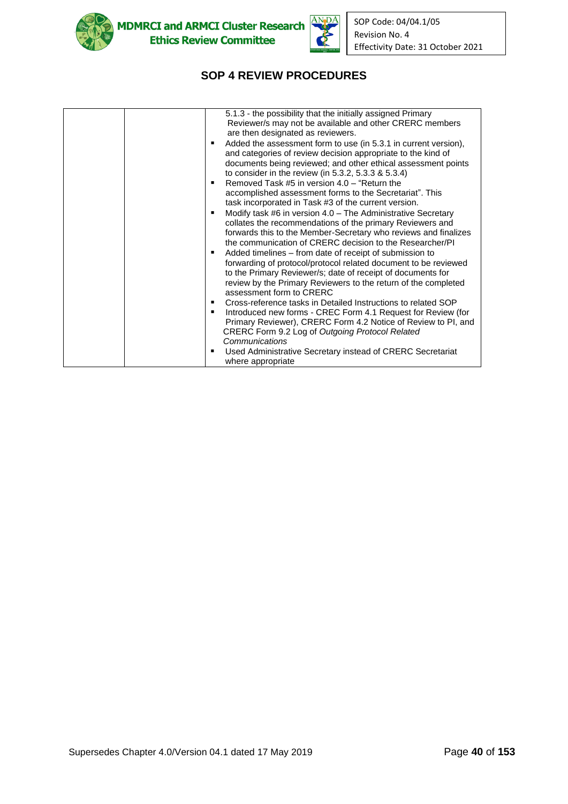



# **SOP 4 REVIEW PROCEDURES**

| 5.1.3 - the possibility that the initially assigned Primary<br>Reviewer/s may not be available and other CRERC members<br>are then designated as reviewers.<br>Added the assessment form to use (in 5.3.1 in current version),<br>and categories of review decision appropriate to the kind of<br>documents being reviewed; and other ethical assessment points<br>to consider in the review (in 5.3.2, 5.3.3 & 5.3.4)<br>Removed Task #5 in version $4.0 -$ "Return the<br>accomplished assessment forms to the Secretariat". This<br>task incorporated in Task #3 of the current version.<br>Modify task #6 in version 4.0 - The Administrative Secretary<br>п<br>collates the recommendations of the primary Reviewers and<br>forwards this to the Member-Secretary who reviews and finalizes<br>the communication of CRERC decision to the Researcher/PI<br>Added timelines – from date of receipt of submission to<br>٠<br>forwarding of protocol/protocol related document to be reviewed<br>to the Primary Reviewer/s; date of receipt of documents for<br>review by the Primary Reviewers to the return of the completed<br>assessment form to CRERC<br>Cross-reference tasks in Detailed Instructions to related SOP<br>Introduced new forms - CREC Form 4.1 Request for Review (for<br>Primary Reviewer), CRERC Form 4.2 Notice of Review to PI, and<br>CRERC Form 9.2 Log of Outgoing Protocol Related<br>Communications |
|-------------------------------------------------------------------------------------------------------------------------------------------------------------------------------------------------------------------------------------------------------------------------------------------------------------------------------------------------------------------------------------------------------------------------------------------------------------------------------------------------------------------------------------------------------------------------------------------------------------------------------------------------------------------------------------------------------------------------------------------------------------------------------------------------------------------------------------------------------------------------------------------------------------------------------------------------------------------------------------------------------------------------------------------------------------------------------------------------------------------------------------------------------------------------------------------------------------------------------------------------------------------------------------------------------------------------------------------------------------------------------------------------------------------------------------|
| Used Administrative Secretary instead of CRERC Secretariat<br>■                                                                                                                                                                                                                                                                                                                                                                                                                                                                                                                                                                                                                                                                                                                                                                                                                                                                                                                                                                                                                                                                                                                                                                                                                                                                                                                                                                     |
| where appropriate                                                                                                                                                                                                                                                                                                                                                                                                                                                                                                                                                                                                                                                                                                                                                                                                                                                                                                                                                                                                                                                                                                                                                                                                                                                                                                                                                                                                                   |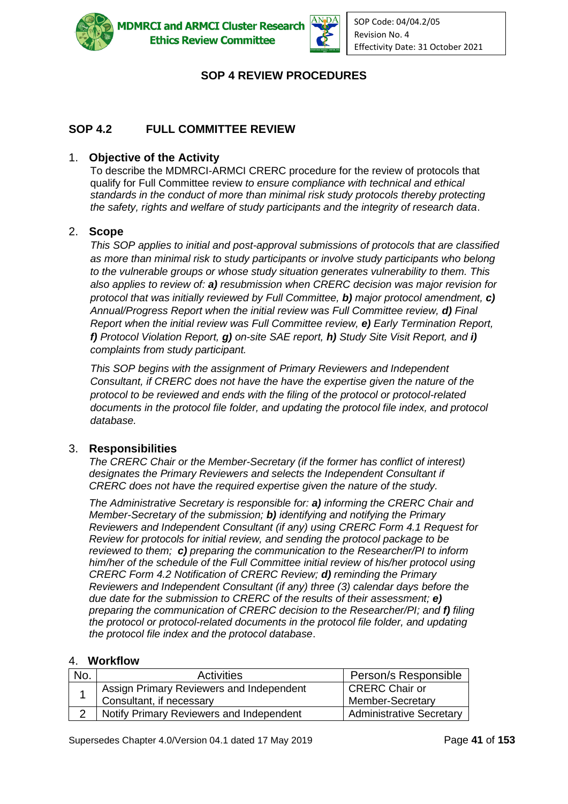



# **SOP 4 REVIEW PROCEDURES**

### **SOP 4.2 FULL COMMITTEE REVIEW**

### 1. **Objective of the Activity**

To describe the MDMRCI-ARMCI CRERC procedure for the review of protocols that qualify for Full Committee review *to ensure compliance with technical and ethical standards in the conduct of more than minimal risk study protocols thereby protecting the safety, rights and welfare of study participants and the integrity of research data*.

#### 2. **Scope**

*This SOP applies to initial and post-approval submissions of protocols that are classified as more than minimal risk to study participants or involve study participants who belong to the vulnerable groups or whose study situation generates vulnerability to them. This also applies to review of: a) resubmission when CRERC decision was major revision for protocol that was initially reviewed by Full Committee, b) major protocol amendment, c) Annual/Progress Report when the initial review was Full Committee review, d) Final Report when the initial review was Full Committee review, e) Early Termination Report, f) Protocol Violation Report, g) on-site SAE report, h) Study Site Visit Report, and i) complaints from study participant.*

*This SOP begins with the assignment of Primary Reviewers and Independent Consultant, if CRERC does not have the have the expertise given the nature of the protocol to be reviewed and ends with the filing of the protocol or protocol-related documents in the protocol file folder, and updating the protocol file index, and protocol database.*

#### 3. **Responsibilities**

*The CRERC Chair or the Member-Secretary (if the former has conflict of interest) designates the Primary Reviewers and selects the Independent Consultant if CRERC does not have the required expertise given the nature of the study.*

*The Administrative Secretary is responsible for: a) informing the CRERC Chair and Member-Secretary of the submission; b) identifying and notifying the Primary Reviewers and Independent Consultant (if any) using CRERC Form 4.1 Request for Review for protocols for initial review, and sending the protocol package to be reviewed to them; c) preparing the communication to the Researcher/PI to inform him/her of the schedule of the Full Committee initial review of his/her protocol using CRERC Form 4.2 Notification of CRERC Review; d) reminding the Primary Reviewers and Independent Consultant (if any) three (3) calendar days before the due date for the submission to CRERC of the results of their assessment; e) preparing the communication of CRERC decision to the Researcher/PI; and f) filing the protocol or protocol-related documents in the protocol file folder, and updating the protocol file index and the protocol database*.

### 4. **Workflow**

| No. | <b>Activities</b>                        | Person/s Responsible            |
|-----|------------------------------------------|---------------------------------|
|     | Assign Primary Reviewers and Independent | CRERC Chair or                  |
|     | Consultant, if necessary                 | Member-Secretary                |
|     | Notify Primary Reviewers and Independent | <b>Administrative Secretary</b> |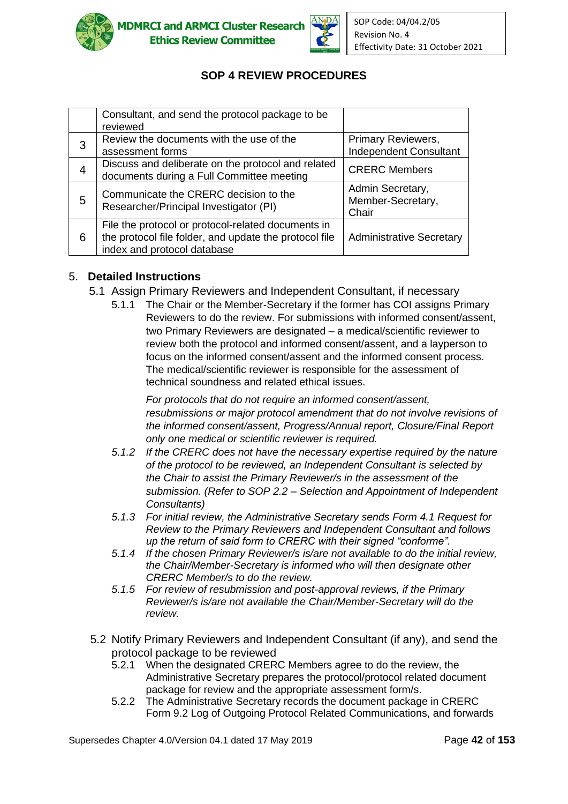



# **SOP 4 REVIEW PROCEDURES**

|   | Consultant, and send the protocol package to be<br>reviewed                                                                                 |                                                     |
|---|---------------------------------------------------------------------------------------------------------------------------------------------|-----------------------------------------------------|
| 3 | Review the documents with the use of the<br>assessment forms                                                                                | Primary Reviewers,<br><b>Independent Consultant</b> |
| 4 | Discuss and deliberate on the protocol and related<br>documents during a Full Committee meeting                                             | <b>CRERC Members</b>                                |
| 5 | Communicate the CRERC decision to the<br>Researcher/Principal Investigator (PI)                                                             | Admin Secretary,<br>Member-Secretary,<br>Chair      |
| 6 | File the protocol or protocol-related documents in<br>the protocol file folder, and update the protocol file<br>index and protocol database | <b>Administrative Secretary</b>                     |

### 5. **Detailed Instructions**

- 5.1 Assign Primary Reviewers and Independent Consultant, if necessary
	- 5.1.1 The Chair or the Member-Secretary if the former has COI assigns Primary Reviewers to do the review. For submissions with informed consent/assent, two Primary Reviewers are designated – a medical/scientific reviewer to review both the protocol and informed consent/assent, and a layperson to focus on the informed consent/assent and the informed consent process. The medical/scientific reviewer is responsible for the assessment of technical soundness and related ethical issues.

*For protocols that do not require an informed consent/assent, resubmissions or major protocol amendment that do not involve revisions of the informed consent/assent, Progress/Annual report, Closure/Final Report only one medical or scientific reviewer is required.*

- *5.1.2 If the CRERC does not have the necessary expertise required by the nature of the protocol to be reviewed, an Independent Consultant is selected by the Chair to assist the Primary Reviewer/s in the assessment of the submission. (Refer to SOP 2.2 – Selection and Appointment of Independent Consultants)*
- *5.1.3 For initial review, the Administrative Secretary sends Form 4.1 Request for Review to the Primary Reviewers and Independent Consultant and follows up the return of said form to CRERC with their signed "conforme".*
- *5.1.4 If the chosen Primary Reviewer/s is/are not available to do the initial review, the Chair/Member-Secretary is informed who will then designate other CRERC Member/s to do the review.*
- *5.1.5 For review of resubmission and post-approval reviews, if the Primary Reviewer/s is/are not available the Chair/Member-Secretary will do the review.*
- 5.2 Notify Primary Reviewers and Independent Consultant (if any), and send the protocol package to be reviewed
	- 5.2.1 When the designated CRERC Members agree to do the review, the Administrative Secretary prepares the protocol/protocol related document package for review and the appropriate assessment form/s.
	- 5.2.2 The Administrative Secretary records the document package in CRERC Form 9.2 Log of Outgoing Protocol Related Communications, and forwards

Supersedes Chapter 4.0/Version 04.1 dated 17 May 2019 Page **42** of **153**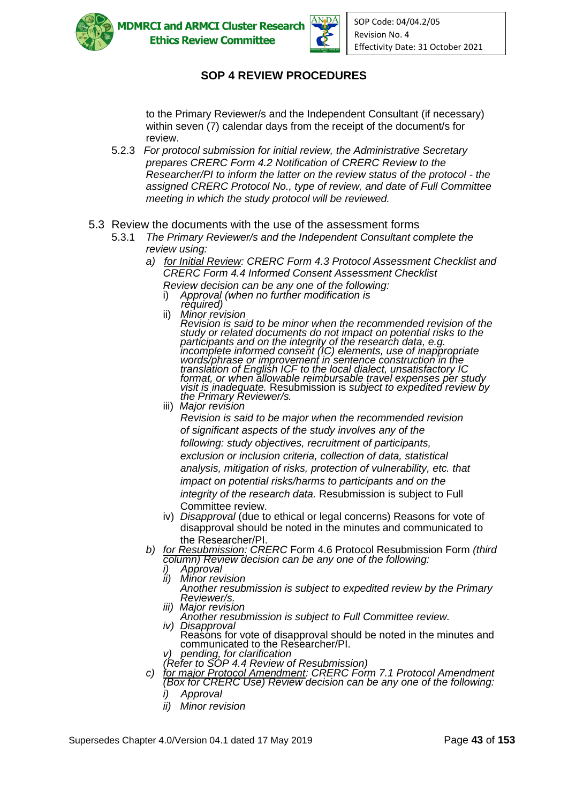



# **SOP 4 REVIEW PROCEDURES**

to the Primary Reviewer/s and the Independent Consultant (if necessary) within seven (7) calendar days from the receipt of the document/s for review.

- 5.2.3 *For protocol submission for initial review, the Administrative Secretary prepares CRERC Form 4.2 Notification of CRERC Review to the Researcher/PI to inform the latter on the review status of the protocol - the assigned CRERC Protocol No., type of review, and date of Full Committee meeting in which the study protocol will be reviewed.*
- 5.3 Review the documents with the use of the assessment forms
	- 5.3.1 *The Primary Reviewer/s and the Independent Consultant complete the review using:*
		- *a) for Initial Review: CRERC Form 4.3 Protocol Assessment Checklist and CRERC Form 4.4 Informed Consent Assessment Checklist* 
			- *Review decision can be any one of the following:*  i) *Approval (when no further modification is*
			- *required)*<br>ii) *Minor rev*

ii) *Minor revision Revision is said to be minor when the recommended revision of the study or related documents do not impact on potential risks to the participants and on the integrity of the research data, e.g. incomplete informed consent (IC) elements, use of inappropriate words/phrase or improvement in sentence construction in the translation of English ICF to the local dialect, unsatisfactory IC format, or when allowable reimbursable travel expenses per study visit is inadequate.* Resubmission is *subject to expedited review by the Primary Reviewer/s.*

iii) *Major revision*

*Revision is said to be major when the recommended revision of significant aspects of the study involves any of the following: study objectives, recruitment of participants, exclusion or inclusion criteria, collection of data, statistical analysis, mitigation of risks, protection of vulnerability, etc. that impact on potential risks/harms to participants and on the integrity of the research data.* Resubmission is subject to Full Committee review.

- iv) *Disapproval* (due to ethical or legal concerns) Reasons for vote of disapproval should be noted in the minutes and communicated to the Researcher/PI.
- *b) for Resubmission: CRERC* Form 4.6 Protocol Resubmission Form *(third column) Review decision can be any one of the following:*
	- *i) Approval*<br>*ii) Minor rev*
	- *ii) Minor revision Another resubmission is subject to expedited review by the Primary Reviewer/s.*
	- *iii) Major revision*
	- *Another resubmission is subject to Full Committee review. iv) Disapproval*
	- Reasons for vote of disapproval should be noted in the minutes and communicated to the Researcher/PI. *v) pending, for clarification*
	- *(Refer to SOP 4.4 Review of Resubmission)*
- *c) for major Protocol Amendment: CRERC Form 7.1 Protocol Amendment (Box for CRERC Use) Review decision can be any one of the following:* 
	- *i) Approval*
	- *ii) Minor revision*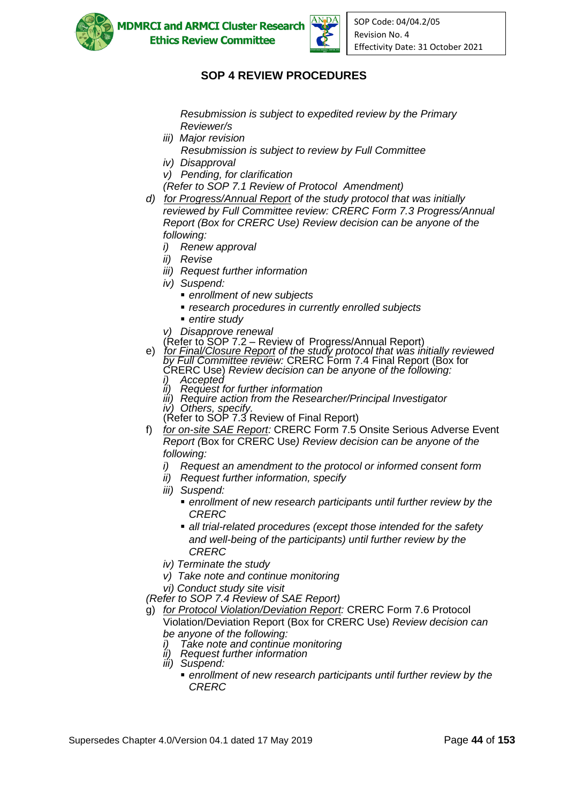



# **SOP 4 REVIEW PROCEDURES**

*Resubmission is subject to expedited review by the Primary Reviewer/s*

- *iii) Major revision*
	- *Resubmission is subject to review by Full Committee*
- *iv) Disapproval*
- *v) Pending, for clarification*
- *(Refer to SOP 7.1 Review of Protocol Amendment)*
- *d) for Progress/Annual Report of the study protocol that was initially reviewed by Full Committee review: CRERC Form 7.3 Progress/Annual Report (Box for CRERC Use) Review decision can be anyone of the following:*
	- *i) Renew approval*
	- *ii) Revise*
	- *iii) Request further information*
	- *iv) Suspend:*
		- *enrollment of new subjects*
		- *research procedures in currently enrolled subjects*
		- *entire studv*
	- *v) Disapprove renewal*
	- (Refer to SOP 7.2 Review of Progress/Annual Report)
- e) *for Final/Closure Report of the study protocol that was initially reviewed by Full Committee review:* CRERC Form 7.4 Final Report (Box for
	- CRERC Use) *Review decision can be anyone of the following: i) Accepted*
	- *ii) Request for further information*
	- *iii) Require action from the Researcher/Principal Investigator*
	- $i$ <sup>v</sup>) Others, specify
	- (Refer to SOP 7.3 Review of Final Report)
- f) *for on-site SAE Report:* CRERC Form 7.5 Onsite Serious Adverse Event *Report (*Box for CRERC Use*) Review decision can be anyone of the following:*
	- *i) Request an amendment to the protocol or informed consent form*
	- *ii) Request further information, specify*
	- *iii) Suspend:*
		- *enrollment* of new research participants until further review by the *CRERC*
		- all trial-related procedures (except those intended for the safety *and well-being of the participants) until further review by the CRERC*
	- *iv) Terminate the study*
	- *v) Take note and continue monitoring*

*vi) Conduct study site visit*

- *(Refer to SOP 7.4 Review of SAE Report)*
- g) *for Protocol Violation/Deviation Report:* CRERC Form 7.6 Protocol Violation/Deviation Report (Box for CRERC Use) *Review decision can be anyone of the following:* 
	- *i) Take note and continue monitoring*
	- **Request further information**
	- *iii) Suspend:*
		- enrollment of new research participants until further review by the *CRERC*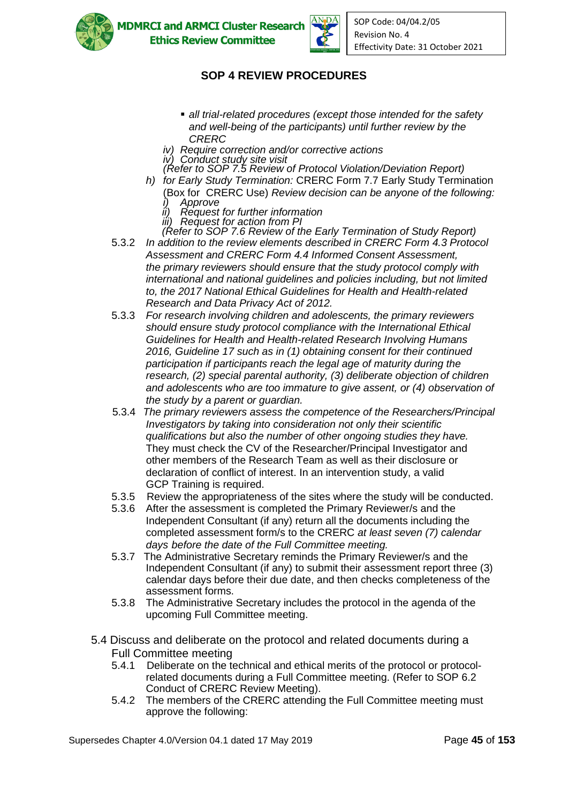



# **SOP 4 REVIEW PROCEDURES**

- all trial-related procedures (except those intended for the safety *and well-being of the participants) until further review by the CRERC*
- *iv) Require correction and/or corrective actions*
- *iv) Conduct study site visit*
- *(Refer to SOP 7.5 Review of Protocol Violation/Deviation Report)*
- *h) for Early Study Termination:* CRERC Form 7.7 Early Study Termination (Box for CRERC Use) *Review decision can be anyone of the following: i) Approve*
- *ii) Request for further information*
	- *iii) Request for action from PI*
- *(Refer to SOP 7.6 Review of the Early Termination of Study Report)* 5.3.2 *In addition to the review elements described in CRERC Form 4.3 Protocol Assessment and CRERC Form 4.4 Informed Consent Assessment, the primary reviewers should ensure that the study protocol comply with international and national guidelines and policies including, but not limited to, the 2017 National Ethical Guidelines for Health and Health-related Research and Data Privacy Act of 2012.*
- 5.3.3 *For research involving children and adolescents, the primary reviewers should ensure study protocol compliance with the International Ethical Guidelines for Health and Health-related Research Involving Humans 2016, Guideline 17 such as in (1) obtaining consent for their continued participation if participants reach the legal age of maturity during the research, (2) special parental authority, (3) deliberate objection of children and adolescents who are too immature to give assent, or (4) observation of the study by a parent or guardian.*
- 5.3.4 *The primary reviewers assess the competence of the Researchers/Principal Investigators by taking into consideration not only their scientific qualifications but also the number of other ongoing studies they have.* They must *c*heck the CV of the Researcher/Principal Investigator and other members of the Research Team as well as their disclosure or declaration of conflict of interest. In an intervention study, a valid GCP Training is required.
- 5.3.5 Review the appropriateness of the sites where the study will be conducted.
- 5.3.6 After the assessment is completed the Primary Reviewer/s and the Independent Consultant (if any) return all the documents including the completed assessment form/s to the CRERC *at least seven (7) calendar days before the date of the Full Committee meeting.*
- 5.3.7 The Administrative Secretary reminds the Primary Reviewer/s and the Independent Consultant (if any) to submit their assessment report three (3) calendar days before their due date, and then checks completeness of the assessment forms.
- 5.3.8 The Administrative Secretary includes the protocol in the agenda of the upcoming Full Committee meeting.
- 5.4 Discuss and deliberate on the protocol and related documents during a Full Committee meeting
	- 5.4.1 Deliberate on the technical and ethical merits of the protocol or protocolrelated documents during a Full Committee meeting. (Refer to SOP 6.2 Conduct of CRERC Review Meeting).
	- 5.4.2 The members of the CRERC attending the Full Committee meeting must approve the following: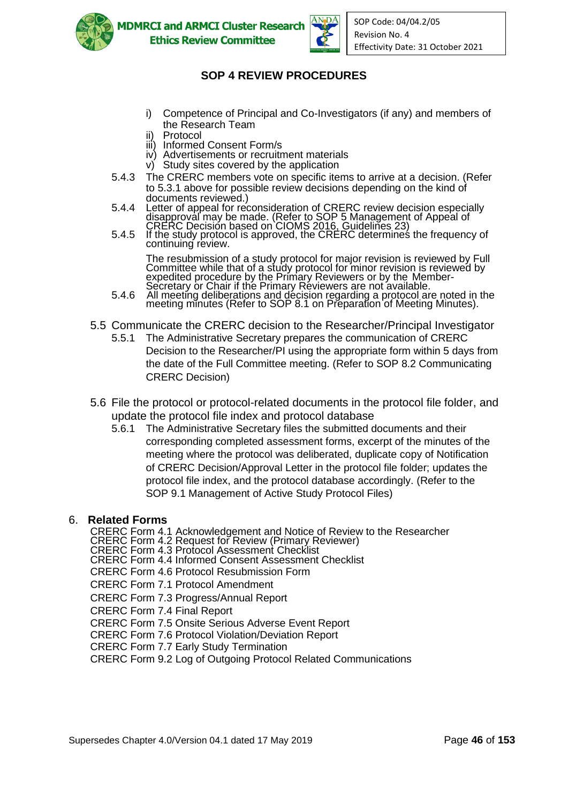



# **SOP 4 REVIEW PROCEDURES**

- i) Competence of Principal and Co-Investigators (if any) and members of the Research Team
- ii) Protocol
- iii) Informed Consent Form/s
- iv) Advertisements or recruitment materials
- v) Study sites covered by the application
- 5.4.3 The CRERC members vote on specific items to arrive at a decision. (Refer to 5.3.1 above for possible review decisions depending on the kind of documents reviewed.)
- 5.4.4 Letter of appeal for reconsideration of CRERC review decision especially disapproval may be made. (Refer to SOP 5 Management of Appeal of CRERC Decision based on CIOMS 2016, Guidelines 23)
- 5.4.5 If the study protocol is approved, the CRERC determines the frequency of continuing review.

The resubmission of a study protocol for major revision is reviewed by Full Committee while that of a study protocol for minor revision is reviewed by expedited procedure by the Primary Reviewers or by the Member-Secretary or Chair if the Primary Reviewers are not available.

- 5.4.6 All meeting deliberations and decision regarding a protocol are noted in the meeting minutes (Refer to SOP 8.1 on Preparation of Meeting Minutes).
- 5.5 Communicate the CRERC decision to the Researcher/Principal Investigator
	- 5.5.1 The Administrative Secretary prepares the communication of CRERC Decision to the Researcher/PI using the appropriate form within 5 days from the date of the Full Committee meeting. (Refer to SOP 8.2 Communicating CRERC Decision)
- 5.6 File the protocol or protocol-related documents in the protocol file folder, and update the protocol file index and protocol database
	- 5.6.1 The Administrative Secretary files the submitted documents and their corresponding completed assessment forms, excerpt of the minutes of the meeting where the protocol was deliberated, duplicate copy of Notification of CRERC Decision/Approval Letter in the protocol file folder; updates the protocol file index, and the protocol database accordingly. (Refer to the SOP 9.1 Management of Active Study Protocol Files)

#### 6. **Related Forms**

CRERC Form 4.1 Acknowledgement and Notice of Review to the Researcher

- CRERC Form 4.2 Request for Review (Primary Reviewer)
- CRERC Form 4.3 Protocol Assessment Checklist

CRERC Form 4.4 Informed Consent Assessment Checklist

CRERC Form 4.6 Protocol Resubmission Form

CRERC Form 7.1 Protocol Amendment

CRERC Form 7.3 Progress/Annual Report

CRERC Form 7.4 Final Report

CRERC Form 7.5 Onsite Serious Adverse Event Report

CRERC Form 7.6 Protocol Violation/Deviation Report

CRERC Form 7.7 Early Study Termination

CRERC Form 9.2 Log of Outgoing Protocol Related Communications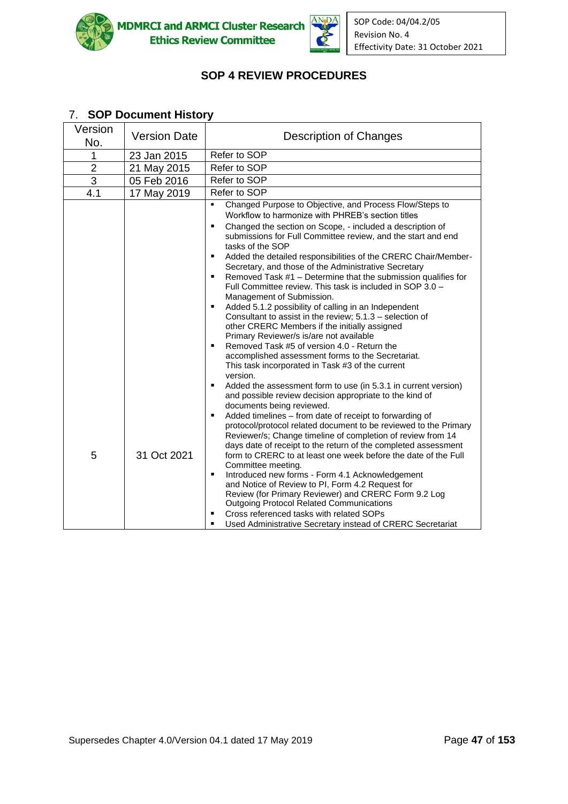



# **SOP 4 REVIEW PROCEDURES**

#### Version No. Version Date | Description of Changes 1 23 Jan 2015 Refer to SOP 2 21 May 2015 Refer to SOP 3 | 05 Feb 2016 | Refer to SOP 4.1 17 May 2019 Refer to SOP 5 31 Oct 2021 Changed Purpose to Objective, and Process Flow/Steps to Workflow to harmonize with PHREB's section titles ■ Changed the section on Scope, - included a description of submissions for Full Committee review, and the start and end tasks of the SOP ■ Added the detailed responsibilities of the CRERC Chair/Member-Secretary, and those of the Administrative Secretary Removed Task  $#1$  – Determine that the submission qualifies for Full Committee review. This task is included in SOP 3.0 – Management of Submission. Added 5.1.2 possibility of calling in an Independent Consultant to assist in the review; 5.1.3 – selection of other CRERC Members if the initially assigned Primary Reviewer/s is/are not available Removed Task #5 of version 4.0 - Return the accomplished assessment forms to the Secretariat. This task incorporated in Task #3 of the current version. ■ Added the assessment form to use (in 5.3.1 in current version) and possible review decision appropriate to the kind of documents being reviewed. Added timelines – from date of receipt to forwarding of protocol/protocol related document to be reviewed to the Primary Reviewer/s; Change timeline of completion of review from 14 days date of receipt to the return of the completed assessment form to CRERC to at least one week before the date of the Full Committee meeting*.* ■ Introduced new forms - Form 4.1 Acknowledgement and Notice of Review to PI, Form 4.2 Request for Review (for Primary Reviewer) and CRERC Form 9.2 Log Outgoing Protocol Related Communications ■ Cross referenced tasks with related SOPs Used Administrative Secretary instead of CRERC Secretariat

### 7. **SOP Document History**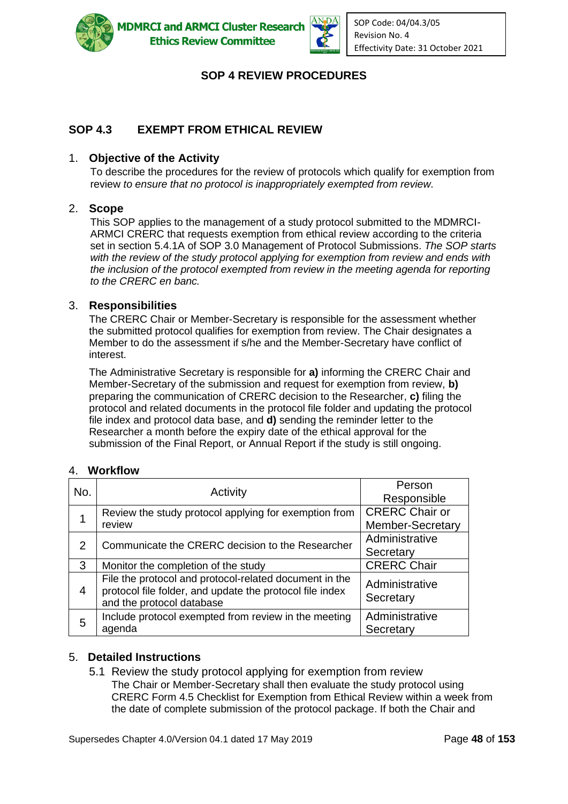



# **SOP 4 REVIEW PROCEDURES**

# **SOP 4.3 EXEMPT FROM ETHICAL REVIEW**

### 1. **Objective of the Activity**

To describe the procedures for the review of protocols which qualify for exemption from review *to ensure that no protocol is inappropriately exempted from review.*

#### 2. **Scope**

This SOP applies to the management of a study protocol submitted to the MDMRCI-ARMCI CRERC that requests exemption from ethical review according to the criteria set in section 5.4.1A of SOP 3.0 Management of Protocol Submissions. *The SOP starts with the review of the study protocol applying for exemption from review and ends with the inclusion of the protocol exempted from review in the meeting agenda for reporting to the CRERC en banc.*

#### 3. **Responsibilities**

The CRERC Chair or Member-Secretary is responsible for the assessment whether the submitted protocol qualifies for exemption from review. The Chair designates a Member to do the assessment if s/he and the Member-Secretary have conflict of interest.

The Administrative Secretary is responsible for **a)** informing the CRERC Chair and Member-Secretary of the submission and request for exemption from review, **b)** preparing the communication of CRERC decision to the Researcher, **c)** filing the protocol and related documents in the protocol file folder and updating the protocol file index and protocol data base, and **d)** sending the reminder letter to the Researcher a month before the expiry date of the ethical approval for the submission of the Final Report, or Annual Report if the study is still ongoing.

### 4. **Workflow**

| No. | Activity                                                                                                                                        | Person                      |
|-----|-------------------------------------------------------------------------------------------------------------------------------------------------|-----------------------------|
|     |                                                                                                                                                 | Responsible                 |
|     | Review the study protocol applying for exemption from                                                                                           | <b>CRERC Chair or</b>       |
|     | review                                                                                                                                          | <b>Member-Secretary</b>     |
|     | Communicate the CRERC decision to the Researcher                                                                                                | Administrative              |
| 2   |                                                                                                                                                 | Secretary                   |
| 3   | Monitor the completion of the study                                                                                                             | <b>CRERC Chair</b>          |
| 4   | File the protocol and protocol-related document in the<br>protocol file folder, and update the protocol file index<br>and the protocol database | Administrative<br>Secretary |
| 5   | Include protocol exempted from review in the meeting<br>agenda                                                                                  | Administrative<br>Secretary |

### 5. **Detailed Instructions**

5.1 Review the study protocol applying for exemption from review The Chair or Member-Secretary shall then evaluate the study protocol using CRERC Form 4.5 Checklist for Exemption from Ethical Review within a week from the date of complete submission of the protocol package. If both the Chair and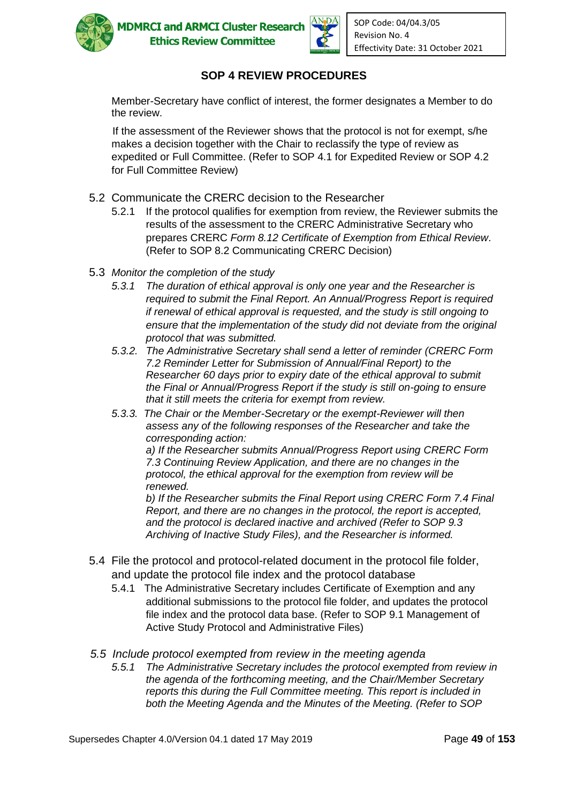



# **SOP 4 REVIEW PROCEDURES**

Member-Secretary have conflict of interest, the former designates a Member to do the review.

If the assessment of the Reviewer shows that the protocol is not for exempt, s/he makes a decision together with the Chair to reclassify the type of review as expedited or Full Committee. (Refer to SOP 4.1 for Expedited Review or SOP 4.2 for Full Committee Review)

- 5.2 Communicate the CRERC decision to the Researcher
	- 5.2.1 If the protocol qualifies for exemption from review, the Reviewer submits the results of the assessment to the CRERC Administrative Secretary who prepares CRERC *Form 8.12 Certificate of Exemption from Ethical Review*. (Refer to SOP 8.2 Communicating CRERC Decision)
- 5.3 *Monitor the completion of the study*
	- *5.3.1 The duration of ethical approval is only one year and the Researcher is required to submit the Final Report. An Annual/Progress Report is required if renewal of ethical approval is requested, and the study is still ongoing to ensure that the implementation of the study did not deviate from the original protocol that was submitted.*
	- *5.3.2. The Administrative Secretary shall send a letter of reminder (CRERC Form 7.2 Reminder Letter for Submission of Annual/Final Report) to the Researcher 60 days prior to expiry date of the ethical approval to submit the Final or Annual/Progress Report if the study is still on-going to ensure that it still meets the criteria for exempt from review.*
	- *5.3.3. The Chair or the Member-Secretary or the exempt-Reviewer will then assess any of the following responses of the Researcher and take the corresponding action:*

*a) If the Researcher submits Annual/Progress Report using CRERC Form 7.3 Continuing Review Application, and there are no changes in the protocol, the ethical approval for the exemption from review will be renewed.* 

*b) If the Researcher submits the Final Report using CRERC Form 7.4 Final Report, and there are no changes in the protocol, the report is accepted, and the protocol is declared inactive and archived (Refer to SOP 9.3 Archiving of Inactive Study Files), and the Researcher is informed.* 

- 5.4 File the protocol and protocol-related document in the protocol file folder, and update the protocol file index and the protocol database
	- 5.4.1 The Administrative Secretary includes Certificate of Exemption and any additional submissions to the protocol file folder, and updates the protocol file index and the protocol data base. (Refer to SOP 9.1 Management of Active Study Protocol and Administrative Files)
- *5.5 Include protocol exempted from review in the meeting agenda*
	- *5.5.1 The Administrative Secretary includes the protocol exempted from review in the agenda of the forthcoming meeting, and the Chair/Member Secretary reports this during the Full Committee meeting. This report is included in both the Meeting Agenda and the Minutes of the Meeting. (Refer to SOP*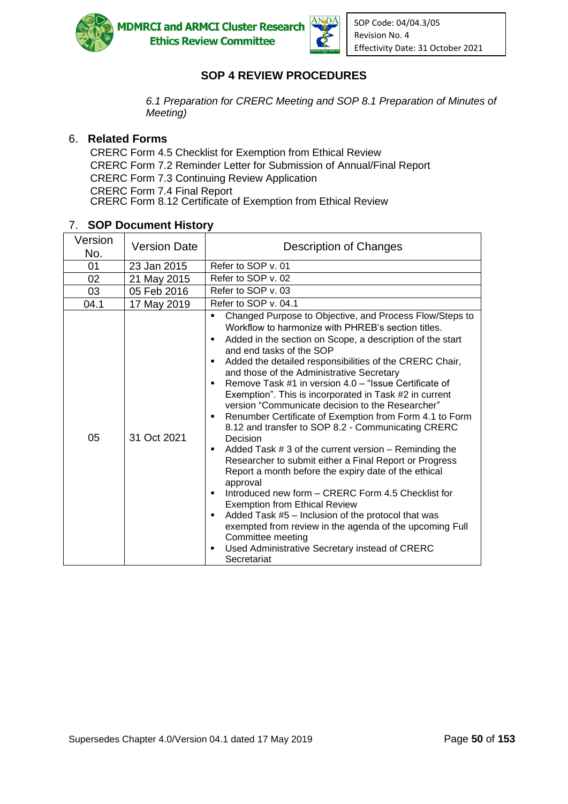



SOP Code: 04/04.3/05 Revision No. 4 Effectivity Date: 31 October 2021

### **SOP 4 REVIEW PROCEDURES**

*6.1 Preparation for CRERC Meeting and SOP 8.1 Preparation of Minutes of Meeting)*

#### 6. **Related Forms**

CRERC Form 4.5 Checklist for Exemption from Ethical Review CRERC Form 7.2 Reminder Letter for Submission of Annual/Final Report CRERC Form 7.3 Continuing Review Application CRERC Form 7.4 Final Report CRERC Form 8.12 Certificate of Exemption from Ethical Review

### 7. **SOP Document History**

| Version<br>No. | <b>Version Date</b> | Description of Changes                                                                                                                                                                                                                                                                                                                                                                                                                                                                                                                                                                                                                                                                                                                                                                                                                                                                                                                                                                                                                                                                                                                                                      |
|----------------|---------------------|-----------------------------------------------------------------------------------------------------------------------------------------------------------------------------------------------------------------------------------------------------------------------------------------------------------------------------------------------------------------------------------------------------------------------------------------------------------------------------------------------------------------------------------------------------------------------------------------------------------------------------------------------------------------------------------------------------------------------------------------------------------------------------------------------------------------------------------------------------------------------------------------------------------------------------------------------------------------------------------------------------------------------------------------------------------------------------------------------------------------------------------------------------------------------------|
| 01             | 23 Jan 2015         | Refer to SOP v. 01                                                                                                                                                                                                                                                                                                                                                                                                                                                                                                                                                                                                                                                                                                                                                                                                                                                                                                                                                                                                                                                                                                                                                          |
| 02             | 21 May 2015         | Refer to SOP v. 02                                                                                                                                                                                                                                                                                                                                                                                                                                                                                                                                                                                                                                                                                                                                                                                                                                                                                                                                                                                                                                                                                                                                                          |
| 03             | 05 Feb 2016         | Refer to SOP v. 03                                                                                                                                                                                                                                                                                                                                                                                                                                                                                                                                                                                                                                                                                                                                                                                                                                                                                                                                                                                                                                                                                                                                                          |
| 04.1           | 17 May 2019         | Refer to SOP v. 04.1                                                                                                                                                                                                                                                                                                                                                                                                                                                                                                                                                                                                                                                                                                                                                                                                                                                                                                                                                                                                                                                                                                                                                        |
| 05             | 31 Oct 2021         | Changed Purpose to Objective, and Process Flow/Steps to<br>$\blacksquare$<br>Workflow to harmonize with PHREB's section titles.<br>Added in the section on Scope, a description of the start<br>٠<br>and end tasks of the SOP<br>Added the detailed responsibilities of the CRERC Chair,<br>and those of the Administrative Secretary<br>Remove Task #1 in version 4.0 – "Issue Certificate of<br>Exemption". This is incorporated in Task #2 in current<br>version "Communicate decision to the Researcher"<br>Renumber Certificate of Exemption from Form 4.1 to Form<br>٠<br>8.12 and transfer to SOP 8.2 - Communicating CRERC<br>Decision<br>Added Task # 3 of the current version - Reminding the<br>٠<br>Researcher to submit either a Final Report or Progress<br>Report a month before the expiry date of the ethical<br>approval<br>Introduced new form - CRERC Form 4.5 Checklist for<br>$\blacksquare$<br><b>Exemption from Ethical Review</b><br>Added Task #5 - Inclusion of the protocol that was<br>٠<br>exempted from review in the agenda of the upcoming Full<br>Committee meeting<br>Used Administrative Secretary instead of CRERC<br>٠<br>Secretariat |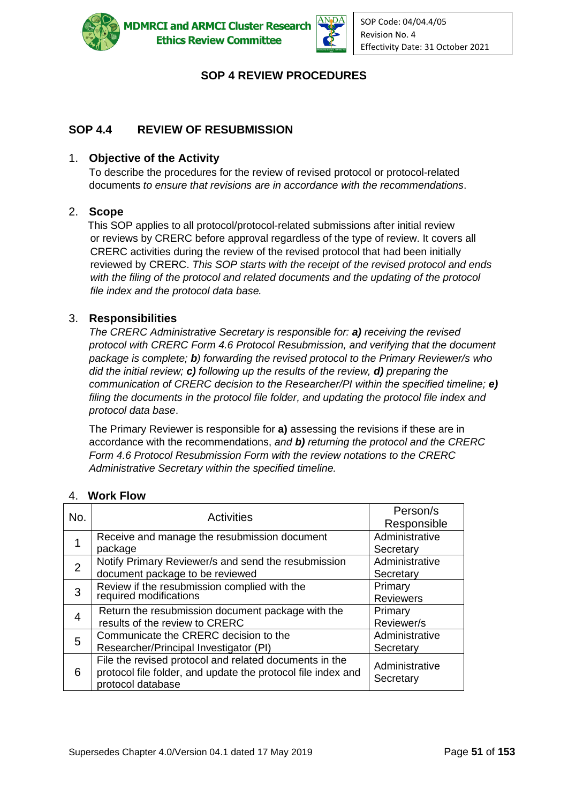



### **SOP 4 REVIEW PROCEDURES**

### **SOP 4.4 REVIEW OF RESUBMISSION**

### 1. **Objective of the Activity**

To describe the procedures for the review of revised protocol or protocol-related documents *to ensure that revisions are in accordance with the recommendations*.

### 2. **Scope**

This SOP applies to all protocol/protocol-related submissions after initial review or reviews by CRERC before approval regardless of the type of review. It covers all CRERC activities during the review of the revised protocol that had been initially reviewed by CRERC. *This SOP starts with the receipt of the revised protocol and ends with the filing of the protocol and related documents and the updating of the protocol file index and the protocol data base.*

### 3. **Responsibilities**

*The CRERC Administrative Secretary is responsible for: a) receiving the revised protocol with CRERC Form 4.6 Protocol Resubmission, and verifying that the document package is complete; b) forwarding the revised protocol to the Primary Reviewer/s who did the initial review; c) following up the results of the review, d) preparing the communication of CRERC decision to the Researcher/PI within the specified timeline; e) filing the documents in the protocol file folder, and updating the protocol file index and protocol data base*.

The Primary Reviewer is responsible for **a)** assessing the revisions if these are in accordance with the recommendations, *and b) returning the protocol and the CRERC Form 4.6 Protocol Resubmission Form with the review notations to the CRERC Administrative Secretary within the specified timeline.*

| No.            | <b>Activities</b>                                                                                                                           | Person/s<br>Responsible     |
|----------------|---------------------------------------------------------------------------------------------------------------------------------------------|-----------------------------|
|                | Receive and manage the resubmission document<br>package                                                                                     | Administrative<br>Secretary |
| $\overline{2}$ | Notify Primary Reviewer/s and send the resubmission<br>document package to be reviewed                                                      | Administrative<br>Secretary |
| 3              | Review if the resubmission complied with the<br>required modifications                                                                      | Primary<br><b>Reviewers</b> |
| $\overline{4}$ | Return the resubmission document package with the<br>results of the review to CRERC                                                         | Primary<br>Reviewer/s       |
| 5              | Communicate the CRERC decision to the<br>Researcher/Principal Investigator (PI)                                                             | Administrative<br>Secretary |
| 6              | File the revised protocol and related documents in the<br>protocol file folder, and update the protocol file index and<br>protocol database | Administrative<br>Secretary |

### 4. **Work Flow**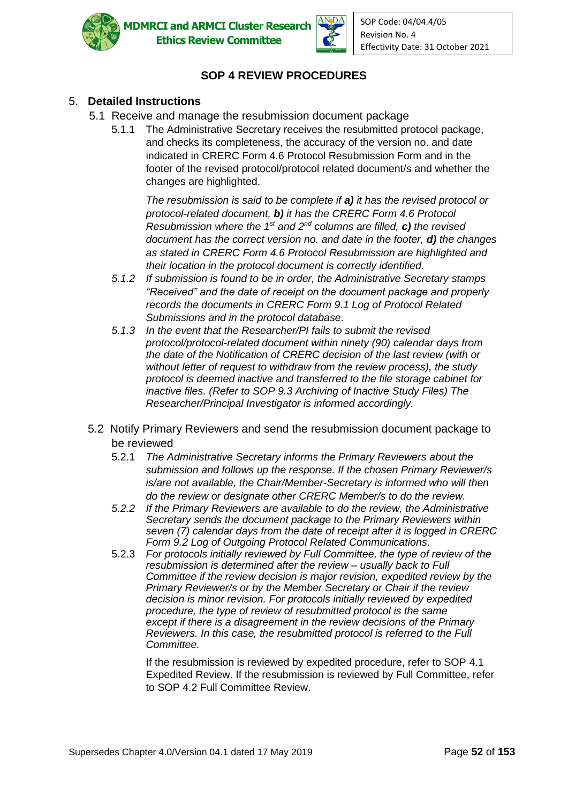



## **SOP 4 REVIEW PROCEDURES**

### 5. **Detailed Instructions**

- 5.1 Receive and manage the resubmission document package
	- 5.1.1 The Administrative Secretary receives the resubmitted protocol package, and checks its completeness, the accuracy of the version no. and date indicated in CRERC Form 4.6 Protocol Resubmission Form and in the footer of the revised protocol/protocol related document/s and whether the changes are highlighted.

*The resubmission is said to be complete if a) it has the revised protocol or protocol-related document, b) it has the CRERC Form 4.6 Protocol Resubmission where the 1st and 2nd columns are filled, c) the revised document has the correct version no. and date in the footer, d) the changes as stated in CRERC Form 4.6 Protocol Resubmission are highlighted and their location in the protocol document is correctly identified.*

- *5.1.2 If submission is found to be in order, the Administrative Secretary stamps "Received" and the date of receipt on the document package and properly records the documents in CRERC Form 9.1 Log of Protocol Related Submissions and in the protocol database*.
- *5.1.3 In the event that the Researcher/PI fails to submit the revised protocol/protocol-related document within ninety (90) calendar days from the date of the Notification of CRERC decision of the last review (with or without letter of request to withdraw from the review process), the study protocol is deemed inactive and transferred to the file storage cabinet for inactive files. (Refer to SOP 9.3 Archiving of Inactive Study Files) The Researcher/Principal Investigator is informed accordingly.*
- 5.2 Notify Primary Reviewers and send the resubmission document package to be reviewed
	- 5.2.1 *The Administrative Secretary informs the Primary Reviewers about the submission and follows up the response. If the chosen Primary Reviewer/s is/are not available, the Chair/Member-Secretary is informed who will then do the review or designate other CRERC Member/s to do the review.*
	- *5.2.2 If the Primary Reviewers are available to do the review, the Administrative Secretary sends the document package to the Primary Reviewers within seven (7) calendar days from the date of receipt after it is logged in CRERC Form 9.2 Log of Outgoing Protocol Related Communications*.
	- 5.2.3 *For protocols initially reviewed by Full Committee, the type of review of the resubmission is determined after the review – usually back to Full Committee if the review decision is major revision, expedited review by the Primary Reviewer/s or by the Member Secretary or Chair if the review decision is minor revision. For protocols initially reviewed by expedited procedure, the type of review of resubmitted protocol is the same except if there is a disagreement in the review decisions of the Primary Reviewers. In this case, the resubmitted protocol is referred to the Full Committee.*

If the resubmission is reviewed by expedited procedure, refer to SOP 4.1 Expedited Review. If the resubmission is reviewed by Full Committee, refer to SOP 4.2 Full Committee Review.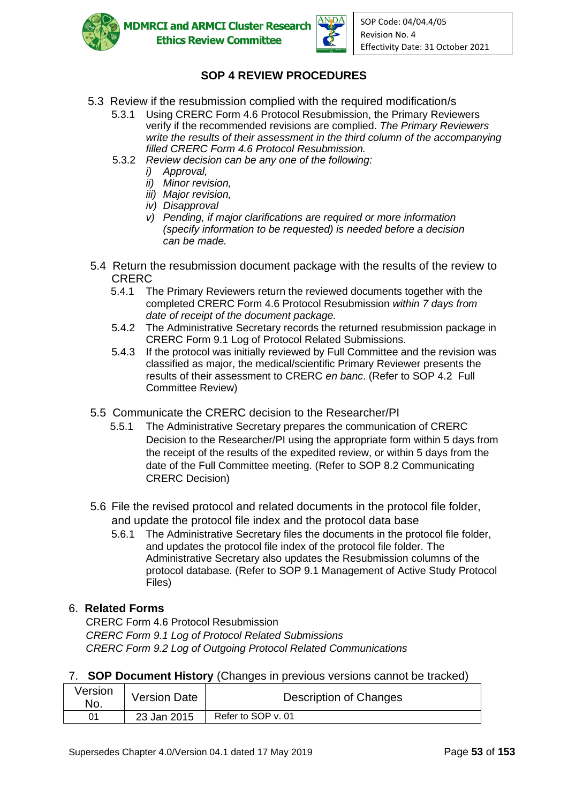



# **SOP 4 REVIEW PROCEDURES**

- 5.3 Review if the resubmission complied with the required modification/s
	- 5.3.1 Using CRERC Form 4.6 Protocol Resubmission, the Primary Reviewers verify if the recommended revisions are complied. *The Primary Reviewers write the results of their assessment in the third column of the accompanying filled CRERC Form 4.6 Protocol Resubmission.*
	- 5.3.2 *Review decision can be any one of the following:*
		- *i) Approval,*
		- *ii) Minor revision,*
		- *iii) Major revision,*
		- *iv) Disapproval*
		- *v) Pending, if major clarifications are required or more information (specify information to be requested) is needed before a decision can be made.*
- 5.4 Return the resubmission document package with the results of the review to CRERC
	- 5.4.1 The Primary Reviewers return the reviewed documents together with the completed CRERC Form 4.6 Protocol Resubmission *within 7 days from date of receipt of the document package.*
	- 5.4.2 The Administrative Secretary records the returned resubmission package in CRERC Form 9.1 Log of Protocol Related Submissions.
	- 5.4.3 If the protocol was initially reviewed by Full Committee and the revision was classified as major, the medical/scientific Primary Reviewer presents the results of their assessment to CRERC *en banc*. (Refer to SOP 4.2 Full Committee Review)
- 5.5 Communicate the CRERC decision to the Researcher/PI
	- 5.5.1 The Administrative Secretary prepares the communication of CRERC Decision to the Researcher/PI using the appropriate form within 5 days from the receipt of the results of the expedited review, or within 5 days from the date of the Full Committee meeting. (Refer to SOP 8.2 Communicating CRERC Decision)
- 5.6 File the revised protocol and related documents in the protocol file folder, and update the protocol file index and the protocol data base
	- 5.6.1 The Administrative Secretary files the documents in the protocol file folder, and updates the protocol file index of the protocol file folder. The Administrative Secretary also updates the Resubmission columns of the protocol database. (Refer to SOP 9.1 Management of Active Study Protocol Files)

### 6. **Related Forms**

CRERC Form 4.6 Protocol Resubmission *CRERC Form 9.1 Log of Protocol Related Submissions CRERC Form 9.2 Log of Outgoing Protocol Related Communications*

|  | 7. SOP Document History (Changes in previous versions cannot be tracked) |  |  |  |  |  |  |
|--|--------------------------------------------------------------------------|--|--|--|--|--|--|
|--|--------------------------------------------------------------------------|--|--|--|--|--|--|

| Version<br>No. | <b>Version Date</b> | Description of Changes |  |
|----------------|---------------------|------------------------|--|
| ሰ1             | 23 Jan 2015         | Refer to SOP v. 01     |  |